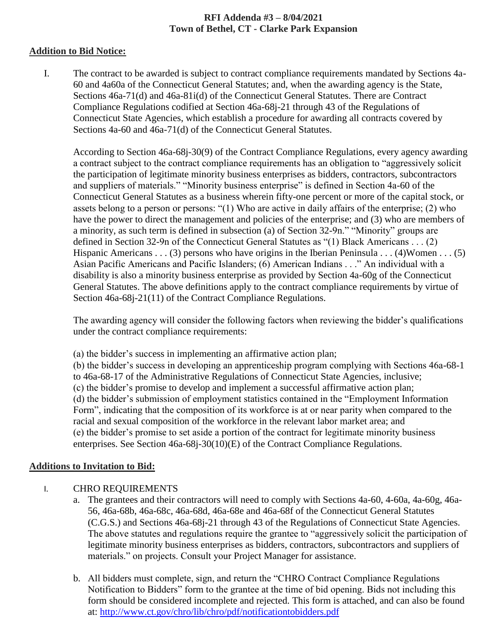## **RFI Addenda #3 – 8/04/2021 Town of Bethel, CT - Clarke Park Expansion**

#### **Addition to Bid Notice:**

I. The contract to be awarded is subject to contract compliance requirements mandated by Sections 4a-60 and 4a60a of the Connecticut General Statutes; and, when the awarding agency is the State, Sections 46a-71(d) and 46a-81i(d) of the Connecticut General Statutes. There are Contract Compliance Regulations codified at Section 46a-68j-21 through 43 of the Regulations of Connecticut State Agencies, which establish a procedure for awarding all contracts covered by Sections 4a-60 and 46a-71(d) of the Connecticut General Statutes.

According to Section 46a-68j-30(9) of the Contract Compliance Regulations, every agency awarding a contract subject to the contract compliance requirements has an obligation to "aggressively solicit the participation of legitimate minority business enterprises as bidders, contractors, subcontractors and suppliers of materials." "Minority business enterprise" is defined in Section 4a-60 of the Connecticut General Statutes as a business wherein fifty-one percent or more of the capital stock, or assets belong to a person or persons: "(1) Who are active in daily affairs of the enterprise; (2) who have the power to direct the management and policies of the enterprise; and (3) who are members of a minority, as such term is defined in subsection (a) of Section 32-9n." "Minority" groups are defined in Section 32-9n of the Connecticut General Statutes as "(1) Black Americans . . . (2) Hispanic Americans . . . (3) persons who have origins in the Iberian Peninsula . . . (4)Women . . . (5) Asian Pacific Americans and Pacific Islanders; (6) American Indians . . ." An individual with a disability is also a minority business enterprise as provided by Section 4a-60g of the Connecticut General Statutes. The above definitions apply to the contract compliance requirements by virtue of Section 46a-68j-21(11) of the Contract Compliance Regulations.

The awarding agency will consider the following factors when reviewing the bidder's qualifications under the contract compliance requirements:

(a) the bidder's success in implementing an affirmative action plan;

(b) the bidder's success in developing an apprenticeship program complying with Sections 46a-68-1 to 46a-68-17 of the Administrative Regulations of Connecticut State Agencies, inclusive; (c) the bidder's promise to develop and implement a successful affirmative action plan; (d) the bidder's submission of employment statistics contained in the "Employment Information Form", indicating that the composition of its workforce is at or near parity when compared to the racial and sexual composition of the workforce in the relevant labor market area; and (e) the bidder's promise to set aside a portion of the contract for legitimate minority business enterprises. See Section 46a-68j-30(10)(E) of the Contract Compliance Regulations.

## **Additions to Invitation to Bid:**

## I. CHRO REQUIREMENTS

- a. The grantees and their contractors will need to comply with Sections 4a-60, 4-60a, 4a-60g, 46a-56, 46a-68b, 46a-68c, 46a-68d, 46a-68e and 46a-68f of the Connecticut General Statutes (C.G.S.) and Sections 46a-68j-21 through 43 of the Regulations of Connecticut State Agencies. The above statutes and regulations require the grantee to "aggressively solicit the participation of legitimate minority business enterprises as bidders, contractors, subcontractors and suppliers of materials." on projects. Consult your Project Manager for assistance.
- b. All bidders must complete, sign, and return the "CHRO Contract Compliance Regulations Notification to Bidders" form to the grantee at the time of bid opening. Bids not including this form should be considered incomplete and rejected. This form is attached, and can also be found at:<http://www.ct.gov/chro/lib/chro/pdf/notificationtobidders.pdf>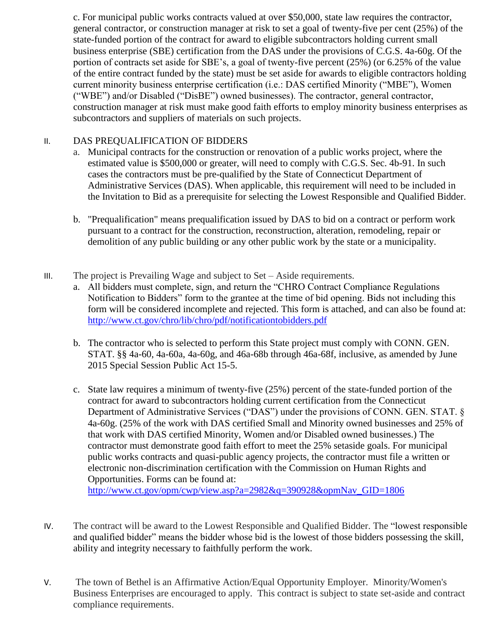c. For municipal public works contracts valued at over \$50,000, state law requires the contractor, general contractor, or construction manager at risk to set a goal of twenty-five per cent (25%) of the state-funded portion of the contract for award to eligible subcontractors holding current small business enterprise (SBE) certification from the DAS under the provisions of C.G.S. 4a-60g. Of the portion of contracts set aside for SBE's, a goal of twenty-five percent (25%) (or 6.25% of the value of the entire contract funded by the state) must be set aside for awards to eligible contractors holding current minority business enterprise certification (i.e.: DAS certified Minority ("MBE"), Women ("WBE") and/or Disabled ("DisBE") owned businesses). The contractor, general contractor, construction manager at risk must make good faith efforts to employ minority business enterprises as subcontractors and suppliers of materials on such projects.

# II. DAS PREQUALIFICATION OF BIDDERS

- a. Municipal contracts for the construction or renovation of a public works project, where the estimated value is \$500,000 or greater, will need to comply with C.G.S. Sec. 4b-91. In such cases the contractors must be pre-qualified by the State of Connecticut Department of Administrative Services (DAS). When applicable, this requirement will need to be included in the Invitation to Bid as a prerequisite for selecting the Lowest Responsible and Qualified Bidder.
- b. "Prequalification" means prequalification issued by DAS to bid on a contract or perform work pursuant to a contract for the construction, reconstruction, alteration, remodeling, repair or demolition of any public building or any other public work by the state or a municipality.
- III. The project is Prevailing Wage and subject to Set Aside requirements.
	- a. All bidders must complete, sign, and return the "CHRO Contract Compliance Regulations Notification to Bidders" form to the grantee at the time of bid opening. Bids not including this form will be considered incomplete and rejected. This form is attached, and can also be found at: <http://www.ct.gov/chro/lib/chro/pdf/notificationtobidders.pdf>
	- b. The contractor who is selected to perform this State project must comply with CONN. GEN. STAT. §§ 4a-60, 4a-60a, 4a-60g, and 46a-68b through 46a-68f, inclusive, as amended by June 2015 Special Session Public Act 15-5.
	- c. State law requires a minimum of twenty-five (25%) percent of the state-funded portion of the contract for award to subcontractors holding current certification from the Connecticut Department of Administrative Services ("DAS") under the provisions of CONN. GEN. STAT. § 4a-60g. (25% of the work with DAS certified Small and Minority owned businesses and 25% of that work with DAS certified Minority, Women and/or Disabled owned businesses.) The contractor must demonstrate good faith effort to meet the 25% setaside goals. For municipal public works contracts and quasi-public agency projects, the contractor must file a written or electronic non-discrimination certification with the Commission on Human Rights and Opportunities. Forms can be found at: [http://www.ct.gov/opm/cwp/view.asp?a=2982&q=390928&opmNav\\_GID=1806](http://www.ct.gov/opm/cwp/view.asp?a=2982&q=390928&opmNav_GID=1806)
- IV. The contract will be award to the Lowest Responsible and Qualified Bidder. The "lowest responsible and qualified bidder" means the bidder whose bid is the lowest of those bidders possessing the skill, ability and integrity necessary to faithfully perform the work.
- V. The town of Bethel is an Affirmative Action/Equal Opportunity Employer. Minority/Women's Business Enterprises are encouraged to apply. This contract is subject to state set-aside and contract compliance requirements.